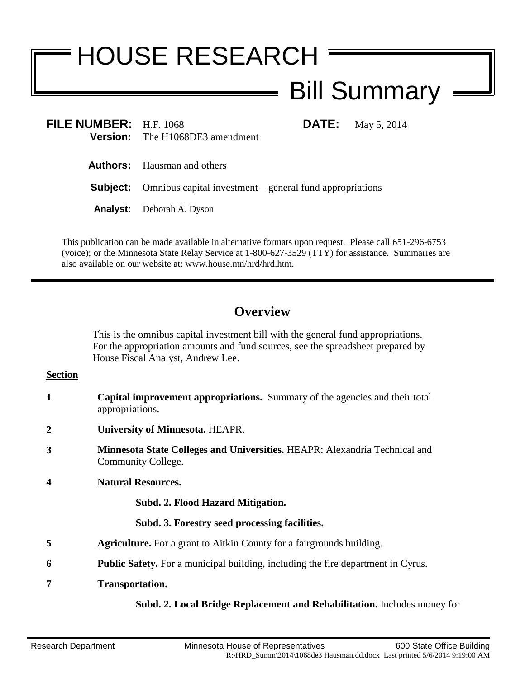# HOUSE RESEARCH

## Bill Summary

| FILE NUMBER: $H.F. 1068$ |                                        |
|--------------------------|----------------------------------------|
|                          | <b>Version:</b> The H1068DE3 amendment |

**FILMAY** 5, 2014

**Authors:** Hausman and others

**Subject:** Omnibus capital investment – general fund appropriations

**Analyst:** Deborah A. Dyson

This publication can be made available in alternative formats upon request. Please call 651-296-6753 (voice); or the Minnesota State Relay Service at 1-800-627-3529 (TTY) for assistance. Summaries are also available on our website at: www.house.mn/hrd/hrd.htm.

### **Overview**

This is the omnibus capital investment bill with the general fund appropriations. For the appropriation amounts and fund sources, see the spreadsheet prepared by House Fiscal Analyst, Andrew Lee.

#### **Section**

- **1 Capital improvement appropriations.** Summary of the agencies and their total appropriations.
- **2 University of Minnesota.** HEAPR.
- **3 Minnesota State Colleges and Universities.** HEAPR; Alexandria Technical and Community College.
- **4 Natural Resources.**

#### **Subd. 2. Flood Hazard Mitigation.**

#### **Subd. 3. Forestry seed processing facilities.**

- **5 Agriculture.** For a grant to Aitkin County for a fairgrounds building.
- **6 Public Safety.** For a municipal building, including the fire department in Cyrus.
- **7 Transportation.**

#### **Subd. 2. Local Bridge Replacement and Rehabilitation.** Includes money for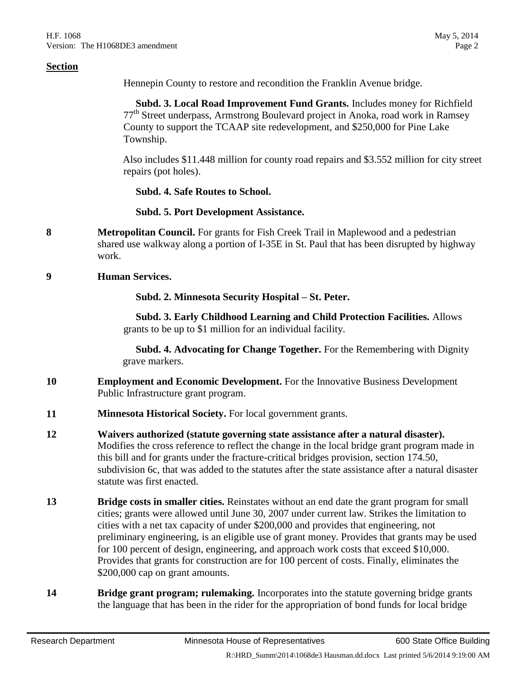#### **Section**

Hennepin County to restore and recondition the Franklin Avenue bridge.

 **Subd. 3. Local Road Improvement Fund Grants.** Includes money for Richfield 77<sup>th</sup> Street underpass, Armstrong Boulevard project in Anoka, road work in Ramsey County to support the TCAAP site redevelopment, and \$250,000 for Pine Lake Township.

Also includes \$11.448 million for county road repairs and \$3.552 million for city street repairs (pot holes).

**Subd. 4. Safe Routes to School.**

**Subd. 5. Port Development Assistance.**

**8 Metropolitan Council.** For grants for Fish Creek Trail in Maplewood and a pedestrian shared use walkway along a portion of I-35E in St. Paul that has been disrupted by highway work.

**9 Human Services.**

#### **Subd. 2. Minnesota Security Hospital – St. Peter.**

 **Subd. 3. Early Childhood Learning and Child Protection Facilities.** Allows grants to be up to \$1 million for an individual facility.

 **Subd. 4. Advocating for Change Together.** For the Remembering with Dignity grave markers.

- **10 Employment and Economic Development.** For the Innovative Business Development Public Infrastructure grant program.
- **11 Minnesota Historical Society.** For local government grants.
- **12 Waivers authorized (statute governing state assistance after a natural disaster).** Modifies the cross reference to reflect the change in the local bridge grant program made in this bill and for grants under the fracture-critical bridges provision, section 174.50, subdivision 6c, that was added to the statutes after the state assistance after a natural disaster statute was first enacted.
- **13 Bridge costs in smaller cities.** Reinstates without an end date the grant program for small cities; grants were allowed until June 30, 2007 under current law. Strikes the limitation to cities with a net tax capacity of under \$200,000 and provides that engineering, not preliminary engineering, is an eligible use of grant money. Provides that grants may be used for 100 percent of design, engineering, and approach work costs that exceed \$10,000. Provides that grants for construction are for 100 percent of costs. Finally, eliminates the \$200,000 cap on grant amounts.
- **14 Bridge grant program; rulemaking.** Incorporates into the statute governing bridge grants the language that has been in the rider for the appropriation of bond funds for local bridge